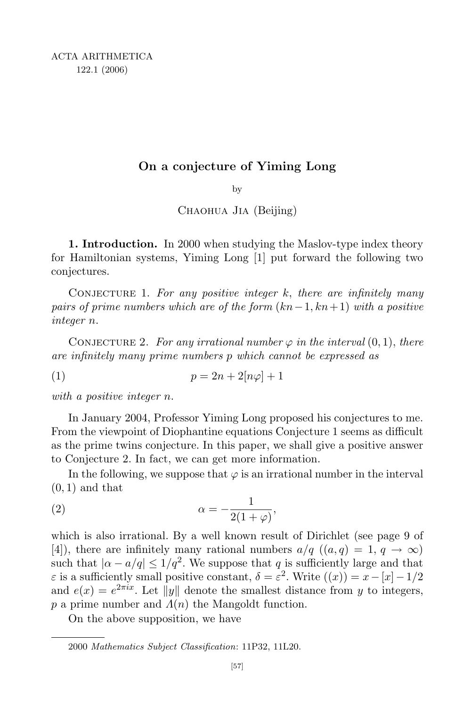## On a conjecture of Yiming Long

by

CHAOHUA JIA (Beijing)

1. Introduction. In 2000 when studying the Maslov-type index theory for Hamiltonian systems, Yiming Long [1] put forward the following two conjectures.

CONJECTURE 1. For any positive integer  $k$ , there are infinitely many pairs of prime numbers which are of the form  $(kn-1, kn+1)$  with a positive integer n.

CONJECTURE 2. For any irrational number  $\varphi$  in the interval  $(0,1)$ , there are infinitely many prime numbers p which cannot be expressed as

(1)  $p = 2n + 2[n\varphi] + 1$ 

with a positive integer n.

In January 2004, Professor Yiming Long proposed his conjectures to me. From the viewpoint of Diophantine equations Conjecture 1 seems as difficult as the prime twins conjecture. In this paper, we shall give a positive answer to Conjecture 2. In fact, we can get more information.

In the following, we suppose that  $\varphi$  is an irrational number in the interval  $(0, 1)$  and that

$$
\alpha = -\frac{1}{2(1+\varphi)},
$$

which is also irrational. By a well known result of Dirichlet (see page 9 of [4]), there are infinitely many rational numbers  $a/q$   $((a,q) = 1, q \rightarrow \infty)$ such that  $|\alpha - a/q| \leq 1/q^2$ . We suppose that q is sufficiently large and that  $\varepsilon$  is a sufficiently small positive constant,  $\delta = \varepsilon^2$ . Write  $((x)) = x - [x] - 1/2$ and  $e(x) = e^{2\pi ix}$ . Let  $||y||$  denote the smallest distance from y to integers, p a prime number and  $\Lambda(n)$  the Mangoldt function.

On the above supposition, we have

<sup>2000</sup> Mathematics Subject Classification: 11P32, 11L20.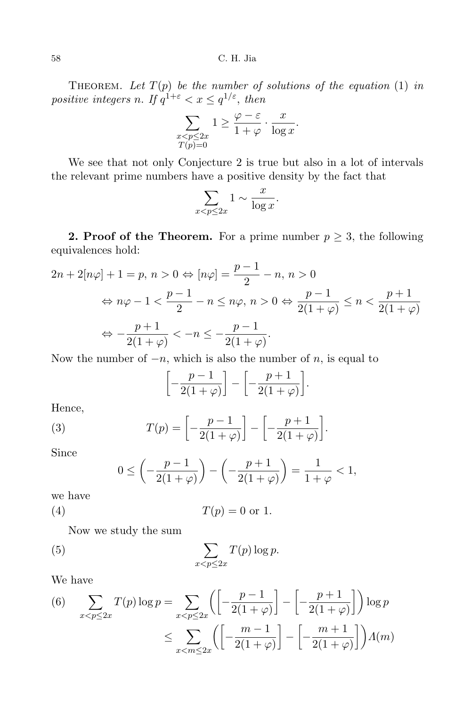THEOREM. Let  $T(p)$  be the number of solutions of the equation (1) in positive integers n. If  $q^{1+\varepsilon} < x \leq q^{1/\varepsilon}$ , then

$$
\sum_{\substack{x < p \le 2x \\ T(p)=0}} 1 \ge \frac{\varphi - \varepsilon}{1+\varphi} \cdot \frac{x}{\log x}.
$$

We see that not only Conjecture 2 is true but also in a lot of intervals the relevant prime numbers have a positive density by the fact that

$$
\sum_{x < p \le 2x} 1 \sim \frac{x}{\log x}.
$$

**2. Proof of the Theorem.** For a prime number  $p \geq 3$ , the following equivalences hold:

$$
2n + 2[n\varphi] + 1 = p, n > 0 \Leftrightarrow [n\varphi] = \frac{p-1}{2} - n, n > 0
$$

$$
\Leftrightarrow n\varphi - 1 < \frac{p-1}{2} - n \le n\varphi, n > 0 \Leftrightarrow \frac{p-1}{2(1+\varphi)} \le n < \frac{p+1}{2(1+\varphi)}
$$

$$
\Leftrightarrow -\frac{p+1}{2(1+\varphi)} < -n \le -\frac{p-1}{2(1+\varphi)}.
$$

Now the number of  $-n$ , which is also the number of n, is equal to

$$
\left[-\frac{p-1}{2(1+\varphi)}\right] - \left[-\frac{p+1}{2(1+\varphi)}\right].
$$

Hence,

(3) 
$$
T(p) = \left[ -\frac{p-1}{2(1+\varphi)} \right] - \left[ -\frac{p+1}{2(1+\varphi)} \right].
$$

Since

$$
0 \le \left( -\frac{p-1}{2(1+\varphi)} \right) - \left( -\frac{p+1}{2(1+\varphi)} \right) = \frac{1}{1+\varphi} < 1,
$$

we have

$$
(4) \t\t T(p) = 0 \t or 1.
$$

Now we study the sum

(5) 
$$
\sum_{x < p \leq 2x} T(p) \log p.
$$

We have

(6) 
$$
\sum_{x < p \le 2x} T(p) \log p = \sum_{x < p \le 2x} \left( \left[ -\frac{p-1}{2(1+\varphi)} \right] - \left[ -\frac{p+1}{2(1+\varphi)} \right] \right) \log p
$$

$$
\le \sum_{x < m \le 2x} \left( \left[ -\frac{m-1}{2(1+\varphi)} \right] - \left[ -\frac{m+1}{2(1+\varphi)} \right] \right) A(m)
$$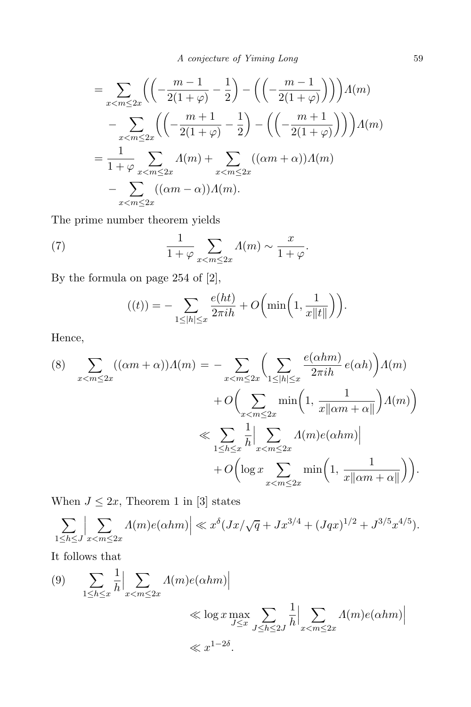$$
= \sum_{x < m \le 2x} \left( \left( -\frac{m-1}{2(1+\varphi)} - \frac{1}{2} \right) - \left( \left( -\frac{m-1}{2(1+\varphi)} \right) \right) \right) \Lambda(m)
$$

$$
- \sum_{x < m \le 2x} \left( \left( -\frac{m+1}{2(1+\varphi)} - \frac{1}{2} \right) - \left( \left( -\frac{m+1}{2(1+\varphi)} \right) \right) \right) \Lambda(m)
$$

$$
= \frac{1}{1+\varphi} \sum_{x < m \le 2x} \Lambda(m) + \sum_{x < m \le 2x} \left( (\alpha m + \alpha) \right) \Lambda(m)
$$

$$
- \sum_{x < m \le 2x} \left( (\alpha m - \alpha) \right) \Lambda(m).
$$

The prime number theorem yields

(7) 
$$
\frac{1}{1+\varphi} \sum_{x < m \le 2x} \Lambda(m) \sim \frac{x}{1+\varphi}.
$$

By the formula on page 254 of [2],

$$
((t)) = -\sum_{1 \le |h| \le x} \frac{e(ht)}{2\pi ih} + O\bigg(\min\bigg(1, \frac{1}{x\|t\|}\bigg)\bigg).
$$

Hence,

(8) 
$$
\sum_{x < m \le 2x} ((\alpha m + \alpha)) \Lambda(m) = - \sum_{x < m \le 2x} \left( \sum_{1 \le |h| \le x} \frac{e(\alpha h m)}{2 \pi i h} e(\alpha h) \right) \Lambda(m)
$$

$$
+ O\left( \sum_{x < m \le 2x} \min\left(1, \frac{1}{x || \alpha m + \alpha ||} \right) \Lambda(m) \right)
$$

$$
\ll \sum_{1 \le h \le x} \frac{1}{h} \Big| \sum_{x < m \le 2x} \Lambda(m) e(\alpha h m) \Big|
$$

$$
+ O\left( \log x \sum_{x < m \le 2x} \min\left(1, \frac{1}{x || \alpha m + \alpha ||} \right) \right).
$$

When  $J \leq 2x$ , Theorem 1 in [3] states

$$
\sum_{1 \leq h \leq J} \left| \sum_{x < m \leq 2x} \Lambda(m) e(\alpha h m) \right| \ll x^{\delta} (Jx/\sqrt{q} + Jx^{3/4} + (Jqx)^{1/2} + J^{3/5} x^{4/5}).
$$

It follows that

(9) 
$$
\sum_{1 \le h \le x} \frac{1}{h} \Big| \sum_{x < m \le 2x} \Lambda(m) e(\alpha h m) \Big|
$$
  
 
$$
\ll \log x \max_{J \le x} \sum_{J \le h \le 2J} \frac{1}{h} \Big| \sum_{x < m \le 2x} \Lambda(m) e(\alpha h m) \Big|
$$
  
 
$$
\ll x^{1-2\delta}.
$$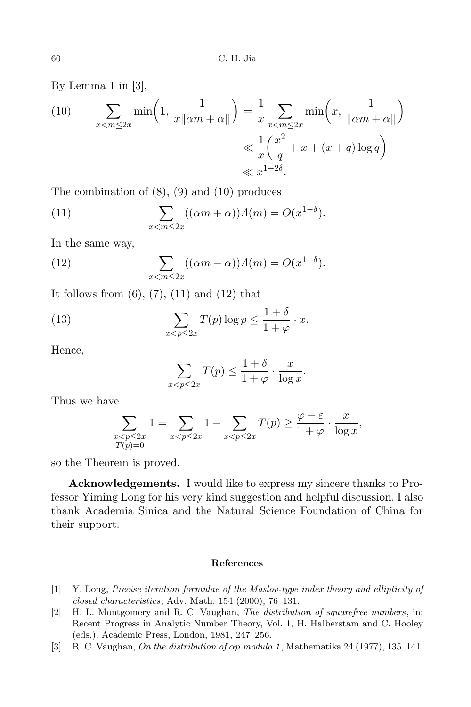By Lemma 1 in [3],

(10) 
$$
\sum_{x < m \le 2x} \min\left(1, \frac{1}{x\|\alpha m + \alpha\|}\right) = \frac{1}{x} \sum_{x < m \le 2x} \min\left(x, \frac{1}{\|\alpha m + \alpha\|}\right)
$$

$$
\le \frac{1}{x} \left(\frac{x^2}{q} + x + (x+q)\log q\right)
$$

$$
\le x^{1-2\delta}.
$$

The combination of  $(8)$ ,  $(9)$  and  $(10)$  produces

(11) 
$$
\sum_{x < m \le 2x} ((\alpha m + \alpha)) \Lambda(m) = O(x^{1-\delta}).
$$

In the same way,

(12) 
$$
\sum_{x < m \le 2x} ((\alpha m - \alpha)) \Lambda(m) = O(x^{1-\delta}).
$$

It follows from  $(6)$ ,  $(7)$ ,  $(11)$  and  $(12)$  that

(13) 
$$
\sum_{x < p \le 2x} T(p) \log p \le \frac{1+\delta}{1+\varphi} \cdot x.
$$

Hence,

$$
\sum_{x < p \le 2x} T(p) \le \frac{1+\delta}{1+\varphi} \cdot \frac{x}{\log x}.
$$

Thus we have

$$
\sum_{\substack{x < p \le 2x \\ T(p)=0}} 1 = \sum_{x < p \le 2x} 1 - \sum_{x < p \le 2x} T(p) \ge \frac{\varphi - \varepsilon}{1 + \varphi} \cdot \frac{x}{\log x},
$$

so the Theorem is proved.

Acknowledgements. I would like to express my sincere thanks to Professor Yiming Long for his very kind suggestion and helpful discussion. I also thank Academia Sinica and the Natural Science Foundation of China for their support.

## References

- [1] Y. Long, Precise iteration formulae of the Maslov-type index theory and ellipticity of closed characteristics, Adv. Math. 154 (2000), 76–131.
- [2] H. L. Montgomery and R. C. Vaughan, The distribution of squarefree numbers, in: Recent Progress in Analytic Number Theory, Vol. 1, H. Halberstam and C. Hooley (eds.), Academic Press, London, 1981, 247–256.
- [3] R. C. Vaughan, On the distribution of  $\alpha p$  modulo 1, Mathematika 24 (1977), 135–141.